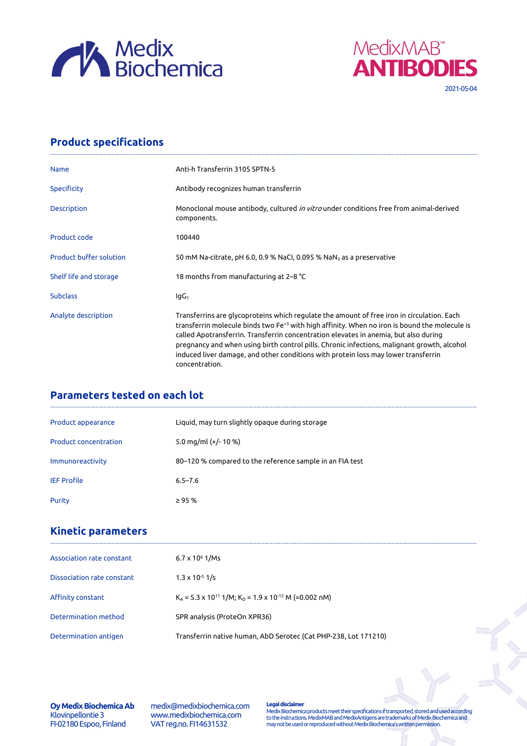



## **Product specifications**

| <b>Name</b>                    | Anti-h Transferrin 3105 SPTN-5                                                                                                                                                                                                                                                                                                                                                                                                                                                                         |  |  |  |
|--------------------------------|--------------------------------------------------------------------------------------------------------------------------------------------------------------------------------------------------------------------------------------------------------------------------------------------------------------------------------------------------------------------------------------------------------------------------------------------------------------------------------------------------------|--|--|--|
| <b>Specificity</b>             | Antibody recognizes human transferrin                                                                                                                                                                                                                                                                                                                                                                                                                                                                  |  |  |  |
| <b>Description</b>             | Monoclonal mouse antibody, cultured <i>in vitro</i> under conditions free from animal-derived<br>components.                                                                                                                                                                                                                                                                                                                                                                                           |  |  |  |
| Product code                   | 100440                                                                                                                                                                                                                                                                                                                                                                                                                                                                                                 |  |  |  |
| <b>Product buffer solution</b> | 50 mM Na-citrate, pH 6.0, 0.9 % NaCl, 0.095 % NaN <sub>3</sub> as a preservative                                                                                                                                                                                                                                                                                                                                                                                                                       |  |  |  |
| Shelf life and storage         | 18 months from manufacturing at 2–8 °C                                                                                                                                                                                                                                                                                                                                                                                                                                                                 |  |  |  |
| <b>Subclass</b>                | lgG <sub>1</sub>                                                                                                                                                                                                                                                                                                                                                                                                                                                                                       |  |  |  |
| Analyte description            | Transferrins are glycoproteins which regulate the amount of free iron in circulation. Each<br>transferrin molecule binds two Fe <sup>+3</sup> with high affinity. When no iron is bound the molecule is<br>called Apotransferrin. Transferrin concentration elevates in anemia, but also during<br>pregnancy and when using birth control pills. Chronic infections, malignant growth, alcohol<br>induced liver damage, and other conditions with protein loss may lower transferrin<br>concentration. |  |  |  |

## **Parameters tested on each lot**

| Product appearance           | Liquid, may turn slightly opaque during storage          |
|------------------------------|----------------------------------------------------------|
| <b>Product concentration</b> | 5.0 mg/ml $(+/- 10 %$                                    |
| Immunoreactivity             | 80-120 % compared to the reference sample in an FIA test |
| <b>IEF Profile</b>           | $6.5 - 7.6$                                              |
| Purity                       | $\geq$ 95 %                                              |

## **Kinetic parameters**

| Association rate constant  | $6.7 \times 10^6$ 1/Ms                                                            |
|----------------------------|-----------------------------------------------------------------------------------|
| Dissociation rate constant | $1.3 \times 10^{-5}$ 1/s                                                          |
| Affinity constant          | $K_A$ = 5.3 x 10 <sup>11</sup> 1/M; $K_D$ = 1.9 x 10 <sup>-12</sup> M (=0.002 nM) |
| Determination method       | SPR analysis (ProteOn XPR36)                                                      |
| Determination antigen      | Transferrin native human, AbD Serotec (Cat PHP-238, Lot 171210)                   |

**Oy Medix Biochemica Ab** Klovinpellontie 3 FI-02180 Espoo, Finland

medix@medixbiochemica.com www.medixbiochemica.com VAT reg.no. FI14631532

**Legal disclaimer** Medix Biochemica products meet their specifications if transported, stored and used according to the instructions. MedixMAB and MedixAntigens are trademarks of Medix Biochemica and may not be used or reproduced without Medix Biochemica's written permission.